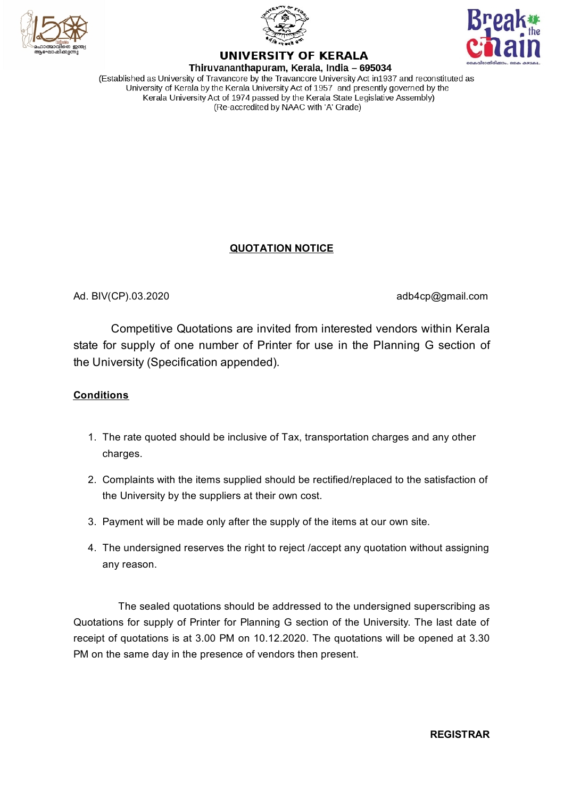





# **UNIVERSITY OF KERALA**

Thiruvananthapuram, Kerala, India - 695034 (Established as University of Travancore by the Travancore University Act in 1937 and reconstituted as University of Kerala by the Kerala University Act of 1957 and presently governed by the Kerala University Act of 1974 passed by the Kerala State Legislative Assembly) (Re-accredited by NAAC with 'A' Grade)

# **QUOTATION NOTICE**

Ad. BIV(CP).03.2020 **adb4cp@gmail.com** 

Competitive Quotations are invited from interested vendors within Kerala state for supply of one number of Printer for use in the Planning G section of the University (Specification appended).

### **Conditions**

- 1. The rate quoted should be inclusive of Tax, transportation charges and any other charges.
- 2. Complaints with the items supplied should be rectified/replaced to the satisfaction of the University by the suppliers at their own cost.
- 3. Payment will be made only after the supply of the items at our own site.
- 4. The undersigned reserves the right to reject /accept any quotation without assigning any reason.

The sealed quotations should be addressed to the undersigned superscribing as Quotations for supply of Printer for Planning G section of the University. The last date of receipt of quotations is at 3.00 PM on 10.12.2020. The quotations will be opened at 3.30 PM on the same day in the presence of vendors then present.